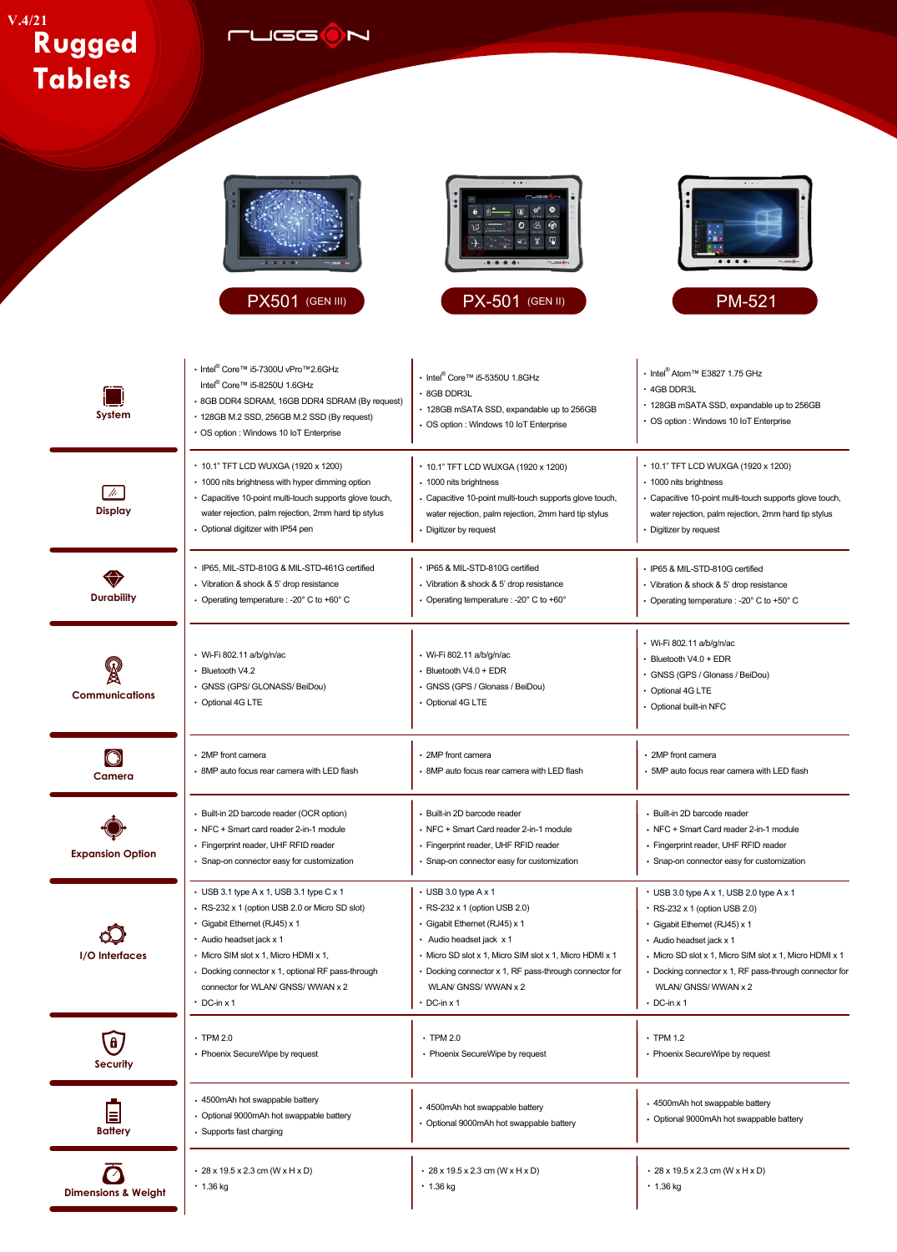**Rugged Tablets V.4/21**

 $\sqrt{10} \text{ and } \sqrt{10} \text{ and } \sqrt{10} \text{ and } \sqrt{10} \text{ and } \sqrt{10} \text{ and } \sqrt{10} \text{ and } \sqrt{10} \text{ and } \sqrt{10} \text{ and } \sqrt{10} \text{ and } \sqrt{10} \text{ and } \sqrt{10} \text{ and } \sqrt{10} \text{ and } \sqrt{10} \text{ and } \sqrt{10} \text{ and } \sqrt{10} \text{ and } \sqrt{10} \text{ and } \sqrt{10} \text{ and } \sqrt{10} \text{ and } \sqrt{10} \text{ and } \sqrt{10} \text{ and }$ 





PX501 (GEN III) PX-501 (GEN II) PM-521



| System                            | • Intel <sup>®</sup> Core™ i5-7300U vPro™2.6GHz<br>Intel <sup>®</sup> Core™ i5-8250U 1.6GHz<br>• 8GB DDR4 SDRAM, 16GB DDR4 SDRAM (By request)<br>* 128GB M.2 SSD, 256GB M.2 SSD (By request)<br>* OS option : Windows 10 IoT Enterprise          | • Intel <sup>®</sup> Core™ i5-5350U 1.8GHz<br>• 8GB DDR3L<br>• 128GB mSATA SSD, expandable up to 256GB<br>• OS option : Windows 10 IoT Enterprise                                                          | • Intel <sup>®</sup> Atom™ E3827 1.75 GHz<br>• 4GB DDR3L<br>• 128GB mSATA SSD, expandable up to 256GB<br>• OS option : Windows 10 IoT Enterprise                                                         |
|-----------------------------------|--------------------------------------------------------------------------------------------------------------------------------------------------------------------------------------------------------------------------------------------------|------------------------------------------------------------------------------------------------------------------------------------------------------------------------------------------------------------|----------------------------------------------------------------------------------------------------------------------------------------------------------------------------------------------------------|
| $\mathcal{H}^+$<br><b>Display</b> | • 10.1" TFT LCD WUXGA (1920 x 1200)<br>• 1000 nits brightness with hyper dimming option<br>• Capacitive 10-point multi-touch supports glove touch,<br>water rejection, palm rejection, 2mm hard tip stylus<br>• Optional digitizer with IP54 pen | • 10.1" TFT LCD WUXGA (1920 x 1200)<br>• 1000 nits brightness<br>• Capacitive 10-point multi-touch supports glove touch,<br>water rejection, palm rejection, 2mm hard tip stylus<br>• Digitizer by request | • 10.1" TFT LCD WUXGA (1920 x 1200)<br>• 1000 nits brightness<br>• Capacitive 10-point multi-touch supports glove touch,<br>water rejection, palm rejection, 2mm hard tip stylus<br>Digitizer by request |
| ◈<br><b>Durability</b>            | • IP65, MIL-STD-810G & MIL-STD-461G certified<br>• Vibration & shock & 5' drop resistance<br>• Operating temperature : - 20° C to +60° C                                                                                                         | · IP65 & MIL-STD-810G certified<br>• Vibration & shock & 5' drop resistance<br>• Operating temperature : -20° C to +60°                                                                                    | • IP65 & MIL-STD-810G certified<br>• Vibration & shock & 5' drop resistance<br>• Operating temperature : -20° C to +50° C                                                                                |
| <b>Communications</b>             | • Wi-Fi 802.11 a/b/g/n/ac<br>• Bluetooth V4.2<br>• GNSS (GPS/ GLONASS/ BeiDou)<br>• Optional 4G LTE                                                                                                                                              | $\cdot$ Wi-Fi 802.11 a/b/g/n/ac<br>• Bluetooth V4.0 + EDR<br>· GNSS (GPS / Glonass / BeiDou)<br>• Optional 4G LTE                                                                                          | • Wi-Fi 802.11 a/b/g/n/ac<br>• Bluetooth V4.0 + EDR<br>• GNSS (GPS / Glonass / BeiDou)<br>• Optional 4G LTE<br>• Optional built-in NFC                                                                   |
| $\bigcirc$                        | • 2MP front camera                                                                                                                                                                                                                               | • 2MP front camera                                                                                                                                                                                         | • 2MP front camera                                                                                                                                                                                       |
| Camera                            | • 8MP auto focus rear camera with LED flash                                                                                                                                                                                                      | • 8MP auto focus rear camera with LED flash                                                                                                                                                                | • 5MP auto focus rear camera with LED flash                                                                                                                                                              |
| <b>Expansion Option</b>           | • Built-in 2D barcode reader (OCR option)                                                                                                                                                                                                        | • Built-in 2D barcode reader                                                                                                                                                                               | • Built-in 2D barcode reader                                                                                                                                                                             |
|                                   | • NFC + Smart card reader 2-in-1 module                                                                                                                                                                                                          | • NFC + Smart Card reader 2-in-1 module                                                                                                                                                                    | • NFC + Smart Card reader 2-in-1 module                                                                                                                                                                  |
|                                   | • Fingerprint reader, UHF RFID reader                                                                                                                                                                                                            | • Fingerprint reader, UHF RFID reader                                                                                                                                                                      | • Fingerprint reader, UHF RFID reader                                                                                                                                                                    |
|                                   | • Snap-on connector easy for customization                                                                                                                                                                                                       | · Snap-on connector easy for customization                                                                                                                                                                 | Snap-on connector easy for customization                                                                                                                                                                 |
| I/O Interfaces                    | $\cdot$ USB 3.1 type A x 1, USB 3.1 type C x 1                                                                                                                                                                                                   | $\cdot$ USB 3.0 type A x 1                                                                                                                                                                                 | • USB 3.0 type A x 1, USB 2.0 type A x 1                                                                                                                                                                 |
|                                   | • RS-232 x 1 (option USB 2.0 or Micro SD slot)                                                                                                                                                                                                   | • RS-232 x 1 (option USB 2.0)                                                                                                                                                                              | • RS-232 x 1 (option USB 2.0)                                                                                                                                                                            |
|                                   | Gigabit Ethernet (RJ45) x 1                                                                                                                                                                                                                      | • Gigabit Ethernet (RJ45) x 1                                                                                                                                                                              | · Gigabit Ethernet (RJ45) x 1                                                                                                                                                                            |
|                                   | • Audio headset jack x 1                                                                                                                                                                                                                         | Audio headset jack x 1                                                                                                                                                                                     | • Audio headset jack x 1                                                                                                                                                                                 |
|                                   | • Micro SIM slot x 1, Micro HDMI x 1,                                                                                                                                                                                                            | • Micro SD slot x 1, Micro SIM slot x 1, Micro HDMI x 1                                                                                                                                                    | • Micro SD slot x 1, Micro SIM slot x 1, Micro HDMI x 1                                                                                                                                                  |
|                                   | • Docking connector x 1, optional RF pass-through                                                                                                                                                                                                | • Docking connector x 1, RF pass-through connector for                                                                                                                                                     | • Docking connector x 1, RF pass-through connector for                                                                                                                                                   |
|                                   | connector for WLAN/ GNSS/ WWAN x 2                                                                                                                                                                                                               | WLAN/ GNSS/ WWAN x 2                                                                                                                                                                                       | WLAN/ GNSS/ WWAN x 2                                                                                                                                                                                     |
|                                   | $DC-in \times 1$                                                                                                                                                                                                                                 | $\cdot$ DC-in x 1                                                                                                                                                                                          | $\cdot$ DC-in x 1                                                                                                                                                                                        |
| $\left( \mathbf{a}\right)$        | $\cdot$ TPM 2.0                                                                                                                                                                                                                                  | $\cdot$ TPM 2.0                                                                                                                                                                                            | $\cdot$ TPM 1.2                                                                                                                                                                                          |
| Security                          | • Phoenix SecureWipe by request                                                                                                                                                                                                                  | • Phoenix SecureWipe by request                                                                                                                                                                            | • Phoenix SecureWipe by request                                                                                                                                                                          |
| <b>Battery</b>                    | • 4500mAh hot swappable battery<br>• Optional 9000mAh hot swappable battery<br>• Supports fast charging                                                                                                                                          | • 4500mAh hot swappable battery<br>• Optional 9000mAh hot swappable battery                                                                                                                                | 4500mAh hot swappable battery<br>• Optional 9000mAh hot swappable battery                                                                                                                                |
| <b>Dimensions &amp; Weight</b>    | • 28 x 19.5 x 2.3 cm (W x H x D)                                                                                                                                                                                                                 | $\cdot$ 28 x 19.5 x 2.3 cm (W x H x D)                                                                                                                                                                     | • 28 x 19.5 x 2.3 cm (W x H x D)                                                                                                                                                                         |
|                                   | $\cdot$ 1.36 kg                                                                                                                                                                                                                                  | • 1.36 kg                                                                                                                                                                                                  | $\cdot$ 1.36 kg                                                                                                                                                                                          |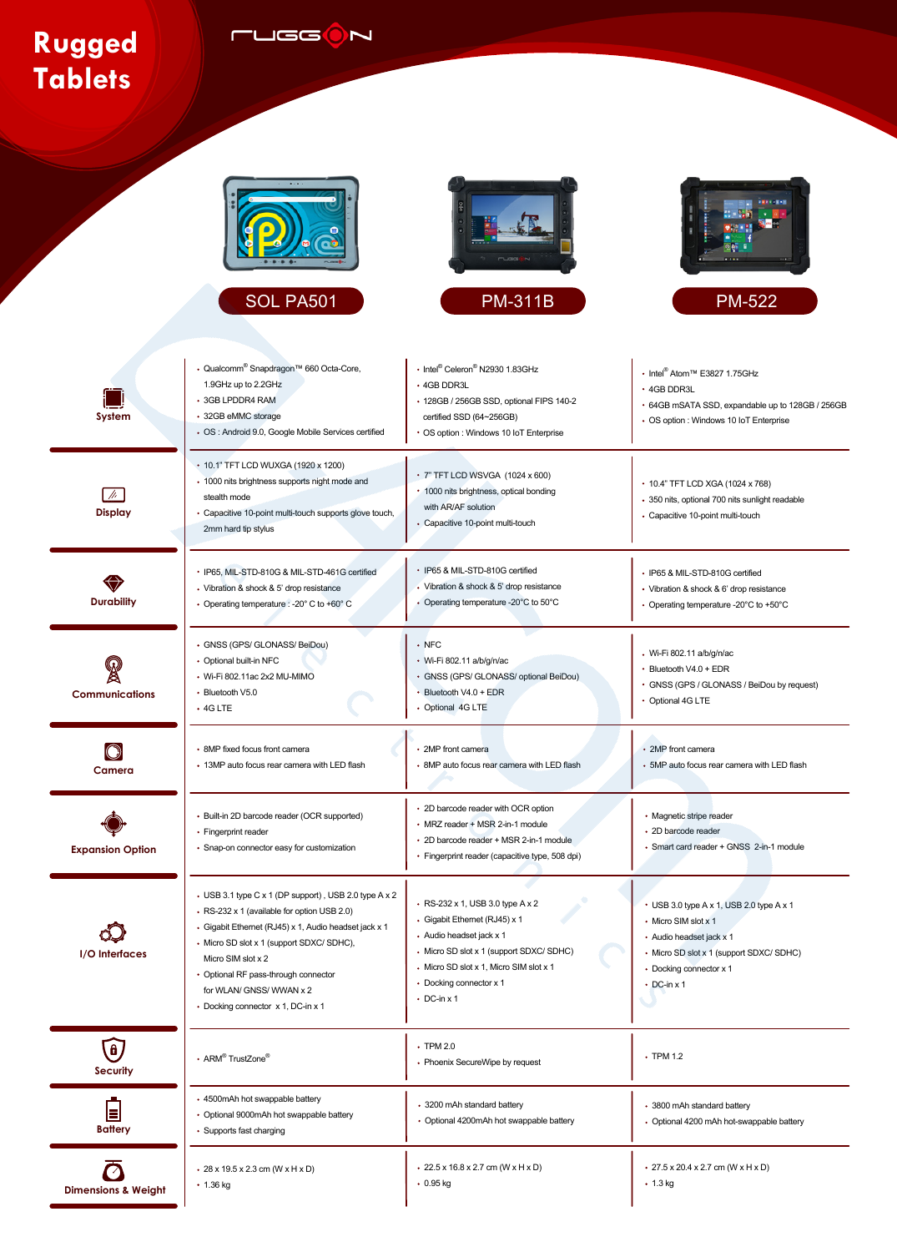## **Rugged Tablets**

 $T$ LGG $\bigcirc$ N

|                                | <b>SOL PA501</b>                                                                                                                                                                                                                                                                                                                           | <b>PM-311B</b>                                                                                                                                                                                                                       | 1811-818<br><b>PM-522</b>                                                                                                                                                                |
|--------------------------------|--------------------------------------------------------------------------------------------------------------------------------------------------------------------------------------------------------------------------------------------------------------------------------------------------------------------------------------------|--------------------------------------------------------------------------------------------------------------------------------------------------------------------------------------------------------------------------------------|------------------------------------------------------------------------------------------------------------------------------------------------------------------------------------------|
| System                         | • Qualcomm® Snapdragon™ 660 Octa-Core,<br>1.9GHz up to 2.2GHz<br>• 3GB LPDDR4 RAM<br>• 32GB eMMC storage<br>• OS : Android 9.0, Google Mobile Services certified                                                                                                                                                                           | • Intel® Celeron® N2930 1.83GHz<br>• 4GB DDR3L<br>• 128GB / 256GB SSD, optional FIPS 140-2<br>certified SSD (64~256GB)<br>• OS option : Windows 10 IoT Enterprise                                                                    | • Intel <sup>®</sup> Atom™ E3827 1.75GHz<br>$\cdot$ 4GB DDR3L<br>• 64GB mSATA SSD, expandable up to 128GB / 256GB<br>• OS option : Windows 10 IoT Enterprise                             |
| W<br>Display                   | • 10.1" TFT LCD WUXGA (1920 x 1200)<br>• 1000 nits brightness supports night mode and<br>stealth mode<br>• Capacitive 10-point multi-touch supports glove touch,<br>2mm hard tip stylus                                                                                                                                                    | • 7" TFT LCD WSVGA (1024 x 600)<br>1000 nits brightness, optical bonding<br>with AR/AF solution<br>• Capacitive 10-point multi-touch                                                                                                 | • 10.4" TFT LCD XGA (1024 x 768)<br>• 350 nits, optional 700 nits sunlight readable<br>• Capacitive 10-point multi-touch                                                                 |
| ₩<br><b>Durability</b>         | • IP65, MIL-STD-810G & MIL-STD-461G certified<br>• Vibration & shock & 5' drop resistance<br>• Operating temperature : - 20° C to +60° C                                                                                                                                                                                                   | · IP65 & MIL-STD-810G certified<br>• Vibration & shock & 5' drop resistance<br>• Operating temperature -20°C to 50°C                                                                                                                 | • IP65 & MIL-STD-810G certified<br>• Vibration & shock & 6' drop resistance<br>Operating temperature -20°C to +50°C                                                                      |
| <b>Communications</b>          | • GNSS (GPS/ GLONASS/ BeiDou)<br>• Optional built-in NFC<br>• Wi-Fi 802.11ac 2x2 MU-MIMO<br>• Bluetooth V5.0<br>$\cdot$ 4G LTE                                                                                                                                                                                                             | $\cdot$ NFC<br>• Wi-Fi 802.11 a/b/g/n/ac<br>• GNSS (GPS/ GLONASS/ optional BeiDou)<br>• Bluetooth V4.0 + EDR<br>• Optional 4G LTE                                                                                                    | • Wi-Fi 802.11 a/b/g/n/ac<br>• Bluetooth V4.0 + EDR<br>• GNSS (GPS / GLONASS / BeiDou by request)<br>• Optional 4G LTE                                                                   |
| Camera                         | • 8MP fixed focus front camera<br>• 13MP auto focus rear camera with LED flash                                                                                                                                                                                                                                                             | • 2MP front camera<br>• 8MP auto focus rear camera with LED flash                                                                                                                                                                    | • 2MP front camera<br>• 5MP auto focus rear camera with LED flash                                                                                                                        |
| <b>Expansion Option</b>        | Built-in 2D barcode reader (OCR supported)<br>• Fingerprint reader<br>• Snap-on connector easy for customization                                                                                                                                                                                                                           | • 2D barcode reader with OCR option<br>• MRZ reader + MSR 2-in-1 module<br>• 2D barcode reader + MSR 2-in-1 module<br>• Fingerprint reader (capacitive type, 508 dpi)                                                                | Magnetic stripe reader<br>• 2D barcode reader<br>· Smart card reader + GNSS 2-in-1 module                                                                                                |
| I/O Interfaces                 | • USB 3.1 type C x 1 (DP support), USB 2.0 type A x 2<br>• RS-232 x 1 (available for option USB 2.0)<br>• Gigabit Ethernet (RJ45) x 1, Audio headset jack x 1<br>• Micro SD slot x 1 (support SDXC/ SDHC),<br>Micro SIM slot x 2<br>• Optional RF pass-through connector<br>for WLAN/ GNSS/ WWAN x 2<br>• Docking connector x 1, DC-in x 1 | • RS-232 x 1, USB 3.0 type A x 2<br>• Gigabit Ethernet (RJ45) x 1<br>• Audio headset jack x 1<br>• Micro SD slot x 1 (support SDXC/ SDHC)<br>• Micro SD slot x 1, Micro SIM slot x 1<br>• Docking connector x 1<br>$\cdot$ DC-in x 1 | • USB 3.0 type A x 1, USB 2.0 type A x 1<br>• Micro SIM slot x 1<br>• Audio headset jack x 1<br>• Micro SD slot x 1 (support SDXC/ SDHC)<br>• Docking connector x 1<br>$\cdot$ DC-in x 1 |
| $\bigcirc$<br><b>Security</b>  | • ARM <sup>®</sup> TrustZone <sup>®</sup>                                                                                                                                                                                                                                                                                                  | $\cdot$ TPM 2.0<br>• Phoenix SecureWipe by request                                                                                                                                                                                   | $\cdot$ TPM 1.2                                                                                                                                                                          |
| ╞<br><b>Battery</b>            | • 4500mAh hot swappable battery<br>• Optional 9000mAh hot swappable battery<br>• Supports fast charging                                                                                                                                                                                                                                    | • 3200 mAh standard battery<br>• Optional 4200mAh hot swappable battery                                                                                                                                                              | 3800 mAh standard battery<br>• Optional 4200 mAh hot-swappable battery                                                                                                                   |
| <b>Dimensions &amp; Weight</b> | $\cdot$ 28 x 19.5 x 2.3 cm (W x H x D)<br>$\cdot$ 1.36 kg                                                                                                                                                                                                                                                                                  | • 22.5 x 16.8 x 2.7 cm (W x H x D)<br>$\cdot$ 0.95 kg                                                                                                                                                                                | • 27.5 x 20.4 x 2.7 cm (W x H x D)<br>$\cdot$ 1.3 kg                                                                                                                                     |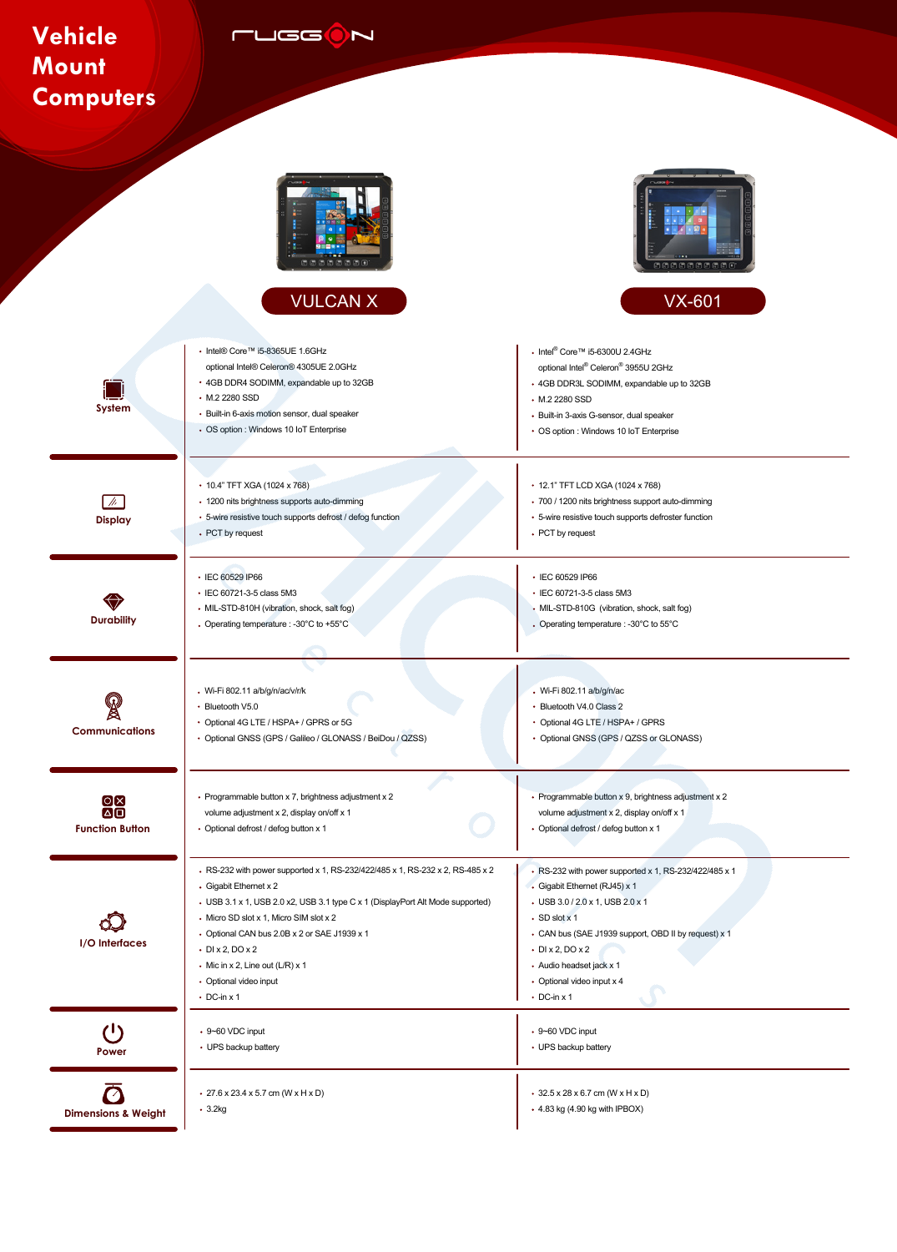## $M$

## **Vehicle Mount Computers**

|                        |                                                                                | 6666                                                  |
|------------------------|--------------------------------------------------------------------------------|-------------------------------------------------------|
|                        | <b>VULCAN X</b>                                                                | <b>VX-601</b>                                         |
|                        | • Intel® Core™ i5-8365UE 1.6GHz                                                | $\cdot$ Intel® Core™ i5-6300U 2.4GHz                  |
|                        | optional Intel® Celeron® 4305UE 2.0GHz                                         | optional Intel® Celeron® 3955U 2GHz                   |
|                        | • 4GB DDR4 SODIMM, expandable up to 32GB                                       | • 4GB DDR3L SODIMM, expandable up to 32GB             |
|                        | • M.2 2280 SSD                                                                 | • M.2 2280 SSD                                        |
| System                 | • Built-in 6-axis motion sensor, dual speaker                                  |                                                       |
|                        | • OS option : Windows 10 IoT Enterprise                                        | · Built-in 3-axis G-sensor, dual speaker              |
|                        |                                                                                | • OS option : Windows 10 IoT Enterprise               |
|                        |                                                                                |                                                       |
|                        | • 10.4" TFT XGA (1024 x 768)                                                   | • 12.1" TFT LCD XGA (1024 x 768)                      |
| W                      | • 1200 nits brightness supports auto-dimming                                   | • 700 / 1200 nits brightness support auto-dimming     |
| <b>Display</b>         | • 5-wire resistive touch supports defrost / defog function                     | • 5-wire resistive touch supports defroster function  |
|                        | • PCT by request                                                               | • PCT by request                                      |
|                        |                                                                                |                                                       |
|                        | • IEC 60529 IP66                                                               | • IEC 60529 IP66                                      |
|                        | • IEC 60721-3-5 class 5M3                                                      | • IEC 60721-3-5 class 5M3                             |
| V                      | • MIL-STD-810H (vibration, shock, salt fog)                                    | • MIL-STD-810G (vibration, shock, salt fog)           |
| <b>Durability</b>      | • Operating temperature : -30°C to +55°C                                       | • Operating temperature : -30°C to 55°C               |
|                        |                                                                                |                                                       |
|                        |                                                                                |                                                       |
|                        | • Wi-Fi 802.11 a/b/g/n/ac/v/r/k                                                | - Wi-Fi 802.11 a/b/g/n/ac                             |
|                        | • Bluetooth V5.0                                                               | • Bluetooth V4.0 Class 2                              |
|                        | • Optional 4G LTE / HSPA+ / GPRS or 5G                                         | • Optional 4G LTE / HSPA+ / GPRS                      |
| <b>Communications</b>  | • Optional GNSS (GPS / Galileo / GLONASS / BeiDou / QZSS)                      | • Optional GNSS (GPS / QZSS or GLONASS)               |
|                        |                                                                                |                                                       |
| <b>OX</b>              | • Programmable button x 7, brightness adjustment x 2                           | · Programmable button x 9, brightness adjustment x 2  |
| 00                     | volume adjustment x 2, display on/off x 1                                      | volume adjustment x 2, display on/off x 1             |
| <b>Function Button</b> | • Optional defrost / defog button x 1                                          | Optional defrost / defog button x 1                   |
|                        |                                                                                |                                                       |
|                        | • RS-232 with power supported x 1, RS-232/422/485 x 1, RS-232 x 2, RS-485 x 2  | • RS-232 with power supported x 1, RS-232/422/485 x 1 |
|                        | • Gigabit Ethernet x 2                                                         | • Gigabit Ethernet (RJ45) x 1                         |
|                        | • USB 3.1 x 1, USB 2.0 x2, USB 3.1 type C x 1 (DisplayPort Alt Mode supported) | • USB 3.0 / 2.0 x 1, USB 2.0 x 1                      |
|                        | • Micro SD slot x 1, Micro SIM slot x 2                                        | $\cdot$ SD slot x 1                                   |
|                        | • Optional CAN bus 2.0B x 2 or SAE J1939 x 1                                   | • CAN bus (SAE J1939 support, OBD II by request) x 1  |
| I/O Interfaces         | $\cdot$ DI x 2, DO x 2                                                         | $\cdot$ DI x 2, DO x 2                                |
|                        | • Mic in x 2, Line out (L/R) x 1                                               | • Audio headset jack x 1                              |
|                        | • Optional video input                                                         | • Optional video input x 4                            |
|                        | $\cdot$ DC-in x 1                                                              | $\cdot$ DC-in x 1                                     |
| ۱۱)                    | • 9~60 VDC input                                                               | • 9~60 VDC input                                      |
| Power                  | • UPS backup battery                                                           | • UPS backup battery                                  |
|                        |                                                                                |                                                       |
|                        |                                                                                |                                                       |